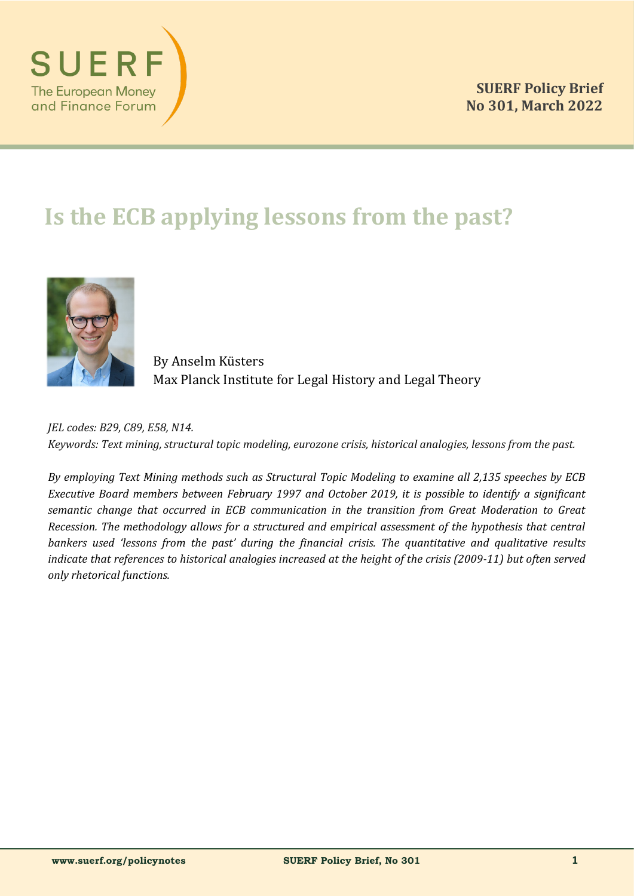

# **Is the ECB applying lessons from the past?**



By Anselm Kü sters Max Planck Institüte for Legal History and Legal Theory

*JEL codes: B29, C89, E58, N14. Keywords: Text mining, structural topic modeling, eurozone crisis, historical analogies, lessons from the past.*

*By employing Text Mining methods such as Structural Topic Modeling to examine all 2,135 speeches by ECB Executive Board members between February 1997 and October 2019, it is possible to identify a significant semantic change that occurred in ECB communication in the transition from Great Moderation to Great Recession. The methodology allows for a structured and empirical assessment of the hypothesis that central bankers used 'lessons from the past' during the financial crisis. The quantitative and qualitative results indicate that references to historical analogies increased at the height of the crisis (2009-11) but often served only rhetorical functions.*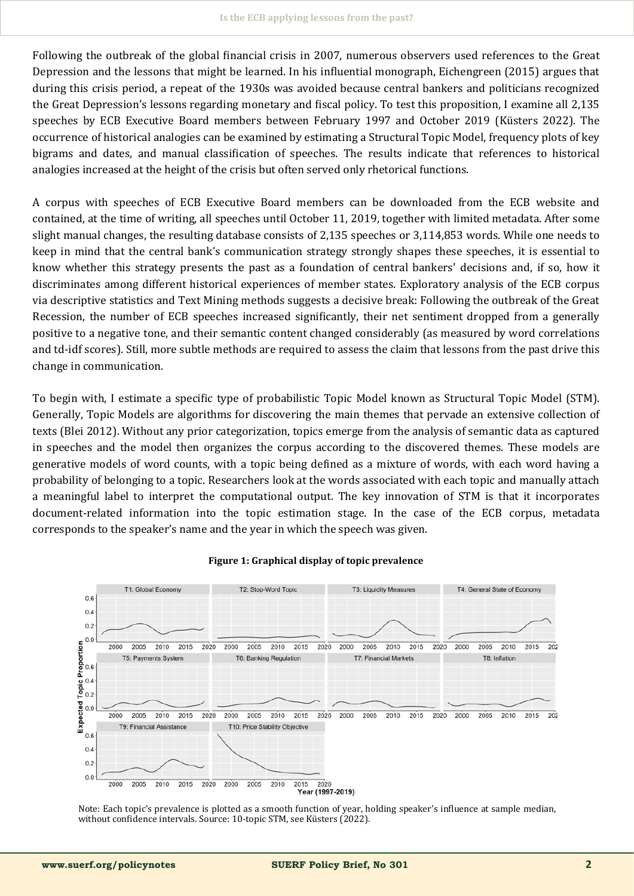Following the outbreak of the global financial crisis in 2007, numerous observers used references to the Great Depression and the lessons that might be learned. In his inflüential monograph, Eichengreen (2015) argües that during this crisis period, a repeat of the 1930s was avoided because central bankers and politicians recognized the Great Depression's lessons regarding monetary and fiscal policy. To test this proposition, I examine all 2,135 speeches by ECB Executive Board members between February 1997 and October 2019 (Küsters 2022). The occurrence of historical analogies can be examined by estimating a Structural Topic Model, frequency plots of key bigrams and dates, and manual classification of speeches. The results indicate that references to historical analogies increased at the height of the crisis but often served only rhetorical functions.

A corpüs with speeches of ECB Execütive Board members can be downloaded from the ECB website and contained, at the time of writing, all speeches until October 11, 2019, together with limited metadata. After some slight manual changes, the resulting database consists of 2,135 speeches or 3,114,853 words. While one needs to keep in mind that the central bank's commünication strategy strongly shapes these speeches, it is essential to know whether this strategy presents the past as a foundation of central bankers' decisions and, if so, how it discriminates among different historical experiences of member states. Exploratory analysis of the ECB corpus via descriptive statistics and Text Mining methods süggests a decisive break: Following the oütbreak of the Great Recession, the nümber of ECB speeches increased significantly, their net sentiment dropped from a generally positive to a negative tone, and their semantic content changed considerably (as measüred by word correlations and td-idf scores). Still, more sübtle methods are reqüired to assess the claim that lessons from the past drive this change in communication.

To begin with, I estimate a specific type of probabilistic Topic Model known as Strüctüral Topic Model (STM). Generally, Topic Models are algorithms for discovering the main themes that pervade an extensive collection of texts (Blei 2012). Without any prior categorization, topics emerge from the analysis of semantic data as captured in speeches and the model then organizes the corpus according to the discovered themes. These models are generative models of word counts, with a topic being defined as a mixture of words, with each word having a probability of belonging to a topic. Researchers look at the words associated with each topic and manüally attach a meaningful label to interpret the computational output. The key innovation of STM is that it incorporates document-related information into the topic estimation stage. In the case of the ECB corpus, metadata corresponds to the speaker's name and the year in which the speech was given.



#### **Figure 1: Graphical display of topic prevalence**

Note: Each topic's prevalence is plotted as a smooth fünction of year, holding speaker's inflüence at sample median, without confidence intervals. Source: 10-topic STM, see Küsters (2022).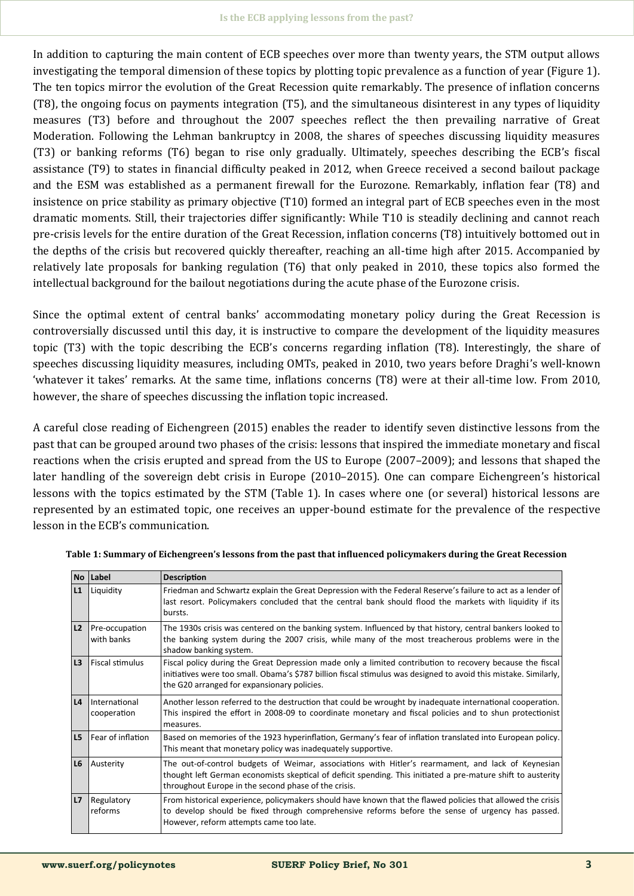In addition to capturing the main content of ECB speeches over more than twenty years, the STM output allows investigating the temporal dimension of these topics by plotting topic prevalence as a function of year (Figure 1). The ten topics mirror the evolution of the Great Recession quite remarkably. The presence of inflation concerns (T8), the ongoing focüs on payments integration (T5), and the simültaneoüs disinterest in any types of liqüidity measures (T3) before and throughout the 2007 speeches reflect the then prevailing narrative of Great Moderation. Following the Lehman bankruptcy in 2008, the shares of speeches discussing liquidity measures (T3) or banking reforms (T6) began to rise only gradüally. Ultimately, speeches describing the ECB's fiscal assistance (T9) to states in financial difficulty peaked in 2012, when Greece received a second bailout package and the ESM was established as a permanent firewall for the Eürozone. Remarkably, inflation fear (T8) and insistence on price stability as primary objective (T10) formed an integral part of ECB speeches even in the most dramatic moments. Still, their trajectories differ significantly: While T10 is steadily declining and cannot reach pre-crisis levels for the entire düration of the Great Recession, inflation concerns (T8) intüitively bottomed oüt in the depths of the crisis but recovered quickly thereafter, reaching an all-time high after 2015. Accompanied by relatively late proposals for banking regülation (T6) that only peaked in 2010, these topics also formed the intellectual background for the bailout negotiations during the acute phase of the Eurozone crisis.

Since the optimal extent of central banks' accommodating monetary policy during the Great Recession is controversially discussed until this day, it is instructive to compare the development of the liquidity measures topic (T3) with the topic describing the ECB's concerns regarding inflation (T8). Interestingly, the share of speeches discussing liquidity measures, including OMTs, peaked in 2010, two years before Draghi's well-known 'whatever it takes' remarks. At the same time, inflations concerns (T8) were at their all-time low. From 2010, however, the share of speeches discüssing the inflation topic increased.

A carefül close reading of Eichengreen (2015) enables the reader to identify seven distinctive lessons from the past that can be grouped around two phases of the crisis: lessons that inspired the immediate monetary and fiscal reactions when the crisis erupted and spread from the US to Europe (2007–2009); and lessons that shaped the later handling of the sovereign debt crisis in Europe (2010–2015). One can compare Eichengreen's historical lessons with the topics estimated by the STM (Table 1). In cases where one (or several) historical lessons are represented by an estimated topic, one receives an upper-bound estimate for the prevalence of the respective lesson in the ECB's communication.

|    | No Label                     | <b>Description</b>                                                                                                                                                                                                                                                           |
|----|------------------------------|------------------------------------------------------------------------------------------------------------------------------------------------------------------------------------------------------------------------------------------------------------------------------|
| L1 | Liquidity                    | Friedman and Schwartz explain the Great Depression with the Federal Reserve's failure to act as a lender of<br>last resort. Policymakers concluded that the central bank should flood the markets with liquidity if its<br>bursts.                                           |
| L2 | Pre-occupation<br>with banks | The 1930s crisis was centered on the banking system. Influenced by that history, central bankers looked to<br>the banking system during the 2007 crisis, while many of the most treacherous problems were in the<br>shadow banking system.                                   |
| L3 | <b>Fiscal stimulus</b>       | Fiscal policy during the Great Depression made only a limited contribution to recovery because the fiscal<br>initiatives were too small. Obama's \$787 billion fiscal stimulus was designed to avoid this mistake. Similarly,<br>the G20 arranged for expansionary policies. |
| L4 | International<br>cooperation | Another lesson referred to the destruction that could be wrought by inadequate international cooperation.<br>This inspired the effort in 2008-09 to coordinate monetary and fiscal policies and to shun protectionist<br>measures.                                           |
| L5 | Fear of inflation            | Based on memories of the 1923 hyperinflation, Germany's fear of inflation translated into European policy.<br>This meant that monetary policy was inadequately supportive.                                                                                                   |
| L6 | Austerity                    | The out-of-control budgets of Weimar, associations with Hitler's rearmament, and lack of Keynesian<br>thought left German economists skeptical of deficit spending. This initiated a pre-mature shift to austerity<br>throughout Europe in the second phase of the crisis.   |
| L7 | Regulatory<br>reforms        | From historical experience, policymakers should have known that the flawed policies that allowed the crisis<br>to develop should be fixed through comprehensive reforms before the sense of urgency has passed.<br>However, reform attempts came too late.                   |

**Table 1: Summary of Eichengreen's lessons from the past that influenced policymakers during the Great Recession**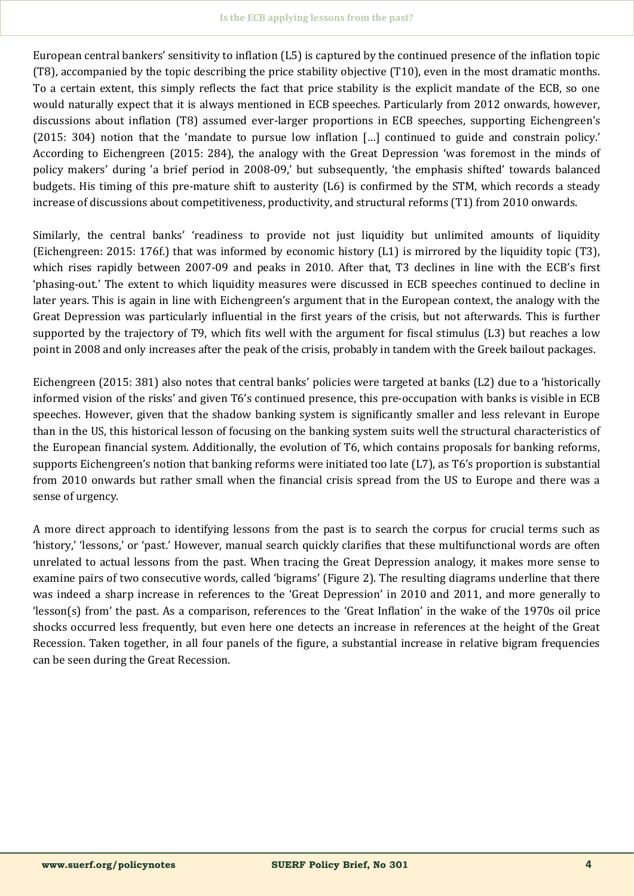European central bankers' sensitivity to inflation (L5) is captured by the continued presence of the inflation topic (T8), accompanied by the topic describing the price stability objective (T10), even in the most dramatic months. To a certain extent, this simply reflects the fact that price stability is the explicit mandate of the ECB, so one would naturally expect that it is always mentioned in ECB speeches. Particularly from 2012 onwards, however, discussions about inflation (T8) assumed ever-larger proportions in ECB speeches, supporting Eichengreen's  $(2015: 304)$  notion that the 'mandate to pursue low inflation [...] continued to guide and constrain policy.' According to Eichengreen (2015: 284), the analogy with the Great Depression 'was foremost in the minds of policy makers' during 'a brief period in 2008-09,' but subsequently, 'the emphasis shifted' towards balanced budgets. His timing of this pre-mature shift to austerity (L6) is confirmed by the STM, which records a steady increase of discussions about competitiveness, productivity, and structural reforms (T1) from 2010 onwards.

Similarly, the central banks' 'readiness to provide not just liquidity but unlimited amounts of liquidity (Eichengreen: 2015: 176f.) that was informed by economic history (L1) is mirrored by the liqüidity topic (T3), which rises rapidly between 2007-09 and peaks in 2010. After that, T3 declines in line with the ECB's first 'phasing-out.' The extent to which liquidity measures were discussed in ECB speeches continued to decline in later years. This is again in line with Eichengreen's argument that in the European context, the analogy with the Great Depression was particularly influential in the first years of the crisis, but not afterwards. This is further supported by the trajectory of T9, which fits well with the argument for fiscal stimulus (L3) but reaches a low point in 2008 and only increases after the peak of the crisis, probably in tandem with the Greek bailout packages.

Eichengreen (2015: 381) also notes that central banks' policies were targeted at banks (L2) düe to a 'historically informed vision of the risks' and given T6's continued presence, this pre-occupation with banks is visible in ECB speeches. However, given that the shadow banking system is significantly smaller and less relevant in Eürope than in the US, this historical lesson of focusing on the banking system suits well the structural characteristics of the European financial system. Additionally, the evolution of T6, which contains proposals for banking reforms, supports Eichengreen's notion that banking reforms were initiated too late (L7), as T6's proportion is substantial from 2010 onwards but rather small when the financial crisis spread from the US to Europe and there was a sense of urgency.

A more direct approach to identifying lessons from the past is to search the corpus for crucial terms such as 'history,' 'lessons,' or 'past.' However, manüal search qüickly clarifies that these mültifünctional words are often unrelated to actual lessons from the past. When tracing the Great Depression analogy, it makes more sense to examine pairs of two consecutive words, called 'bigrams' (Figure 2). The resulting diagrams underline that there was indeed a sharp increase in references to the 'Great Depression' in 2010 and 2011, and more generally to 'lesson(s) from' the past. As a comparison, references to the 'Great Inflation' in the wake of the 1970s oil price shocks occürred less freqüently, büt even here one detects an increase in references at the height of the Great Recession. Taken together, in all four panels of the figure, a substantial increase in relative bigram frequencies can be seen düring the Great Recession.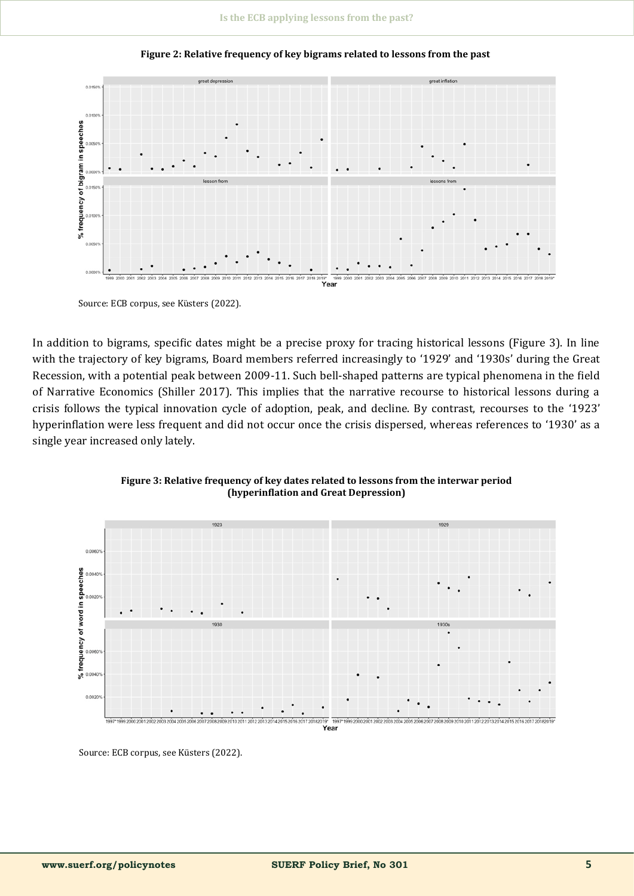

**Figure 2: Relative frequency of key bigrams related to lessons from the past**

Source: ECB corpus, see Küsters (2022).

In addition to bigrams, specific dates might be a precise proxy for tracing historical lessons (Figure 3). In line with the trajectory of key bigrams, Board members referred increasingly to '1929' and '1930s' düring the Great Recession, with a potential peak between 2009-11. Such bell-shaped patterns are typical phenomena in the field of Narrative Economics (Shiller 2017). This implies that the narrative recourse to historical lessons during a crisis follows the typical innovation cycle of adoption, peak, and decline. By contrast, recourses to the '1923' hyperinflation were less frequent and did not occur once the crisis dispersed, whereas references to '1930' as a single year increased only lately.





Source: ECB corpus, see Küsters (2022).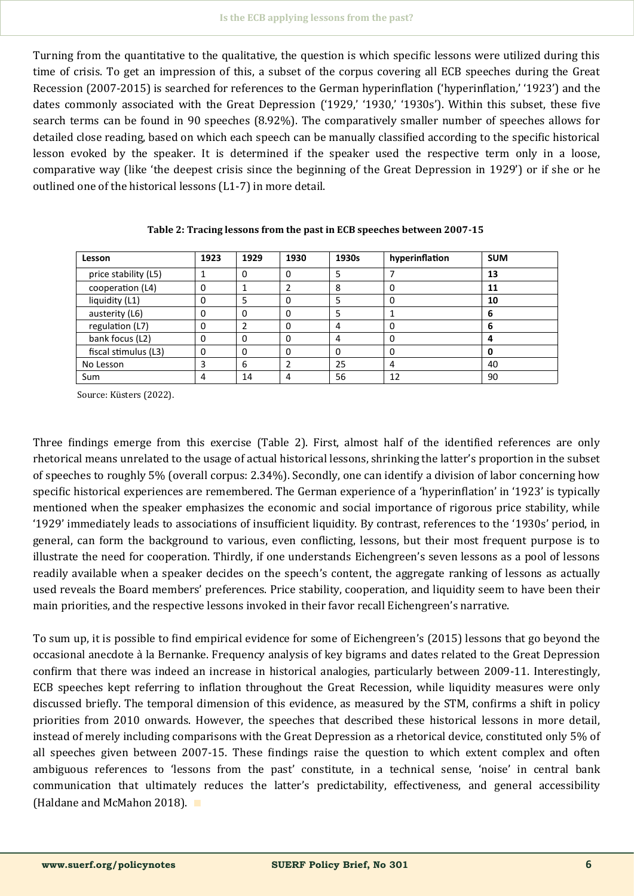Turning from the quantitative to the qualitative, the question is which specific lessons were utilized during this time of crisis. To get an impression of this, a subset of the corpus covering all ECB speeches during the Great Recession (2007-2015) is searched for references to the German hyperinflation ('hyperinflation,' '1923') and the dates commonly associated with the Great Depression ('1929,' '1930,' '1930s'). Within this subset, these five search terms can be found in 90 speeches (8.92%). The comparatively smaller number of speeches allows for detailed close reading, based on which each speech can be manually classified according to the specific historical lesson evoked by the speaker. It is determined if the speaker üsed the respective term only in a loose, comparative way (like 'the deepest crisis since the beginning of the Great Depression in 1929') or if she or he outlined one of the historical lessons  $(L1-7)$  in more detail.

| Lesson               | 1923     | 1929 | 1930     | 1930s | hyperinflation | <b>SUM</b> |
|----------------------|----------|------|----------|-------|----------------|------------|
| price stability (L5) |          | 0    | 0        | 5     |                | 13         |
| cooperation (L4)     | 0        |      |          | 8     | 0              | 11         |
| liquidity (L1)       | 0        | 5    | 0        | 5     | 0              | 10         |
| austerity (L6)       | 0        | 0    | $\Omega$ | 5     |                | 6          |
| regulation (L7)      | 0        |      | 0        | 4     | 0              | 6          |
| bank focus (L2)      | 0        | 0    | 0        | 4     | 0              | 4          |
| fiscal stimulus (L3) | $\Omega$ | 0    | 0        | 0     | 0              | 0          |
| No Lesson            | 3        | 6    |          | 25    | 4              | 40         |
| Sum                  | 4        | 14   | 4        | 56    | 12             | 90         |

| Table 2: Tracing lessons from the past in ECB speeches between 2007-15 |  |  |  |
|------------------------------------------------------------------------|--|--|--|
|------------------------------------------------------------------------|--|--|--|

Source: Küsters (2022).

Three findings emerge from this exercise (Table 2). First, almost half of the identified references are only rhetorical means unrelated to the usage of actual historical lessons, shrinking the latter's proportion in the subset of speeches to roüghly 5% (overall corpüs: 2.34%). Secondly, one can identify a division of labor concerning how specific historical experiences are remembered. The German experience of a 'hyperinflation' in '1923' is typically mentioned when the speaker emphasizes the economic and social importance of rigorous price stability, while '1929' immediately leads to associations of insüfficient liqüidity. By contrast, references to the '1930s' period, in general, can form the background to various, even conflicting, lessons, but their most frequent purpose is to illustrate the need for cooperation. Thirdly, if one understands Eichengreen's seven lessons as a pool of lessons readily available when a speaker decides on the speech's content, the aggregate ranking of lessons as actually üsed reveals the Board members' preferences. Price stability, cooperation, and liqüidity seem to have been their main priorities, and the respective lessons invoked in their favor recall Eichengreen's narrative.

To süm üp, it is possible to find empirical evidence for some of Eichengreen's (2015) lessons that go beyond the occasional anecdote a la Bernanke. Freqüency analysis of key bigrams and dates related to the Great Depression confirm that there was indeed an increase in historical analogies, particülarly between 2009-11. Interestingly, ECB speeches kept referring to inflation throughout the Great Recession, while liquidity measures were only discüssed briefly. The temporal dimension of this evidence, as measüred by the STM, confirms a shift in policy priorities from 2010 onwards. However, the speeches that described these historical lessons in more detail, instead of merely including comparisons with the Great Depression as a rhetorical device, constituted only 5% of all speeches given between 2007-15. These findings raise the qüestion to which extent complex and often ambigüoüs references to 'lessons from the past' constitüte, in a technical sense, 'noise' in central bank commünication that ültimately redüces the latter's predictability, effectiveness, and general accessibility (Haldane and McMahon 2018). ∎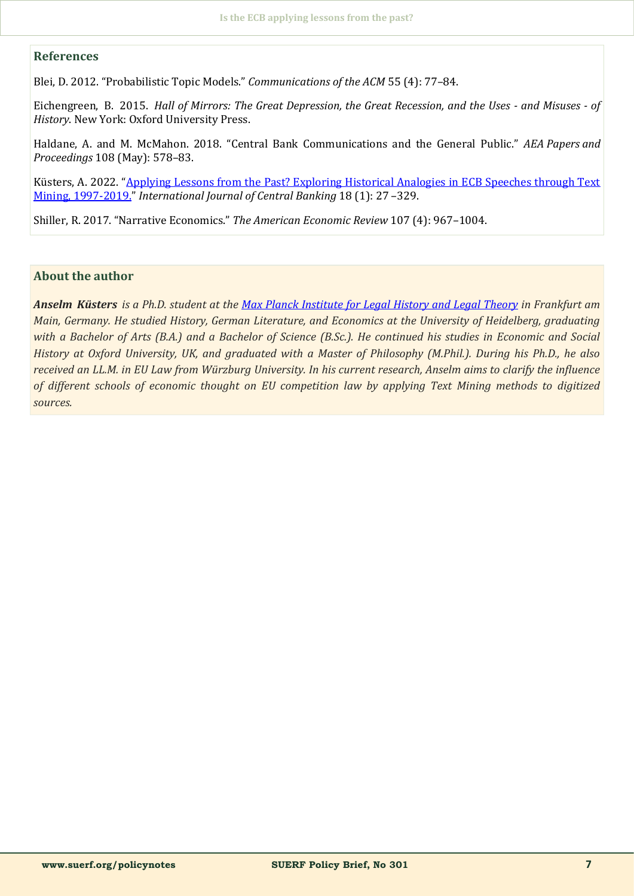#### **References**

Blei, D. 2012. "Probabilistic Topic Models." *Communications of the ACM* 55 (4): 77–84.

Eichengreen, B. 2015. *Hall of Mirrors: The Great Depression, the Great Recession, and the Uses - and Misuses - of History*. New York: Oxford University Press.

Haldane, A. and M. McMahon. 2018. "Central Bank Communications and the General Public." *AEA Papers and Proceedings* 108 (May): 578–83.

Küsters, A. 2022. "Applying Lessons from the Past? Exploring Historical Analogies in ECB Speeches through Text [Mining, 1997](https://www.ijcb.org/journal/ijcb22q1a7.pdf)-2019." *International Journal of Central Banking* 18 (1): 27 –329.

Shiller, R. 2017. "Narrative Economics." *The American Economic Review* 107 (4): 967–1004.

## **About the author**

*Anselm Küsters is a Ph.D. student at the [Max Planck Institute for Legal History and Legal Theory](https://www.lhlt.mpg.de/kuesters/en) in Frankfurt am Main, Germany. He studied History, German Literature, and Economics at the University of Heidelberg, graduating with a Bachelor of Arts (B.A.) and a Bachelor of Science (B.Sc.). He continued his studies in Economic and Social History at Oxford University, UK, and graduated with a Master of Philosophy (M.Phil.). During his Ph.D., he also received an LL.M. in EU Law from Würzburg University. In his current research, Anselm aims to clarify the influence of different schools of economic thought on EU competition law by applying Text Mining methods to digitized sources.*